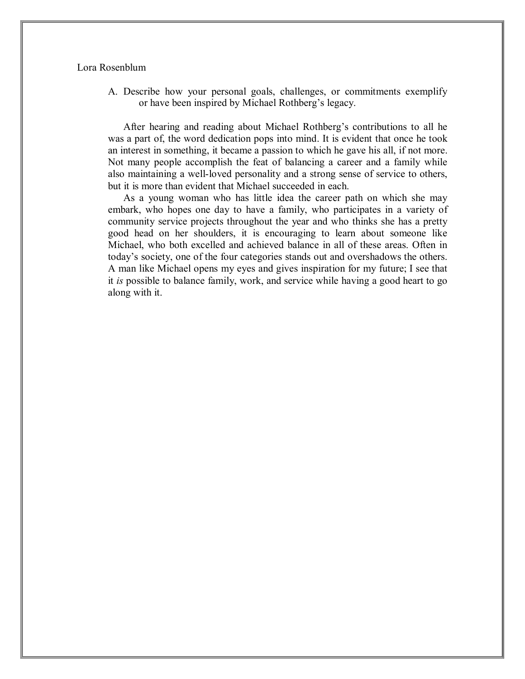## Lora Rosenblum

A. Describe how your personal goals, challenges, or commitments exemplify or have been inspired by Michael Rothberg's legacy.

After hearing and reading about Michael Rothberg's contributions to all he was a part of, the word dedication pops into mind. It is evident that once he took an interest in something, it became a passion to which he gave his all, if not more. Not many people accomplish the feat of balancing a career and a family while also maintaining a well-loved personality and a strong sense of service to others, but it is more than evident that Michael succeeded in each.

As a young woman who has little idea the career path on which she may embark, who hopes one day to have a family, who participates in a variety of community service projects throughout the year and who thinks she has a pretty good head on her shoulders, it is encouraging to learn about someone like Michael, who both excelled and achieved balance in all of these areas. Often in today's society, one of the four categories stands out and overshadows the others. A man like Michael opens my eyes and gives inspiration for my future; I see that it *is* possible to balance family, work, and service while having a good heart to go along with it.